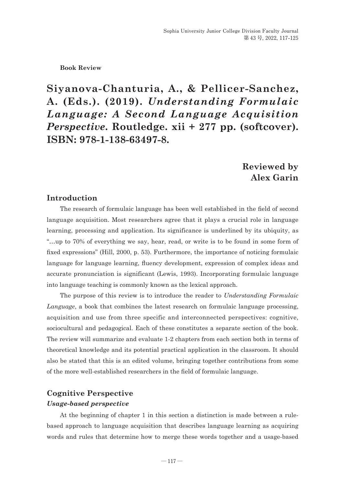#### **Book Review**

**Siyanova-Chanturia, A., & Pellicer-Sanchez, A. (Eds.). (2019).** *Understanding Formulaic Language: A Second Language Acquisition Perspective*. Routledge. xii + 277 pp. (softcover). **ISBN: 978-1-138-63497-8.**

# **Reviewed by Alex Garin**

## **Introduction**

The research of formulaic language has been well established in the field of second language acquisition. Most researchers agree that it plays a crucial role in language learning, processing and application. Its significance is underlined by its ubiquity, as "…up to 70% of everything we say, hear, read, or write is to be found in some form of fixed expressions" (Hill, 2000, p. 53). Furthermore, the importance of noticing formulaic language for language learning, fluency development, expression of complex ideas and accurate pronunciation is significant (Lewis, 1993). Incorporating formulaic language into language teaching is commonly known as the lexical approach.

The purpose of this review is to introduce the reader to *Understanding Formulaic Language*, a book that combines the latest research on formulaic language processing, acquisition and use from three specific and interconnected perspectives: cognitive, sociocultural and pedagogical. Each of these constitutes a separate section of the book. The review will summarize and evaluate 1-2 chapters from each section both in terms of theoretical knowledge and its potential practical application in the classroom. It should also be stated that this is an edited volume, bringing together contributions from some of the more well-established researchers in the field of formulaic language.

## **Cognitive Perspective**  *Usage-based perspective*

At the beginning of chapter 1 in this section a distinction is made between a rulebased approach to language acquisition that describes language learning as acquiring words and rules that determine how to merge these words together and a usage-based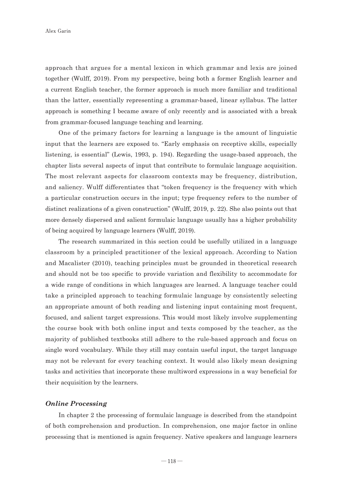approach that argues for a mental lexicon in which grammar and lexis are joined together (Wulff, 2019). From my perspective, being both a former English learner and a current English teacher, the former approach is much more familiar and traditional than the latter, essentially representing a grammar-based, linear syllabus. The latter approach is something I became aware of only recently and is associated with a break from grammar-focused language teaching and learning.

One of the primary factors for learning a language is the amount of linguistic input that the learners are exposed to. "Early emphasis on receptive skills, especially listening, is essential" (Lewis, 1993, p. 194). Regarding the usage-based approach, the chapter lists several aspects of input that contribute to formulaic language acquisition. The most relevant aspects for classroom contexts may be frequency, distribution, and saliency. Wulff differentiates that "token frequency is the frequency with which a particular construction occurs in the input; type frequency refers to the number of distinct realizations of a given construction" (Wulff, 2019, p. 22). She also points out that more densely dispersed and salient formulaic language usually has a higher probability of being acquired by language learners (Wulff, 2019).

The research summarized in this section could be usefully utilized in a language classroom by a principled practitioner of the lexical approach. According to Nation and Macalister (2010), teaching principles must be grounded in theoretical research and should not be too specific to provide variation and flexibility to accommodate for a wide range of conditions in which languages are learned. A language teacher could take a principled approach to teaching formulaic language by consistently selecting an appropriate amount of both reading and listening input containing most frequent, focused, and salient target expressions. This would most likely involve supplementing the course book with both online input and texts composed by the teacher, as the majority of published textbooks still adhere to the rule-based approach and focus on single word vocabulary. While they still may contain useful input, the target language may not be relevant for every teaching context. It would also likely mean designing tasks and activities that incorporate these multiword expressions in a way beneficial for their acquisition by the learners.

#### *Online Processing*

In chapter 2 the processing of formulaic language is described from the standpoint of both comprehension and production. In comprehension, one major factor in online processing that is mentioned is again frequency. Native speakers and language learners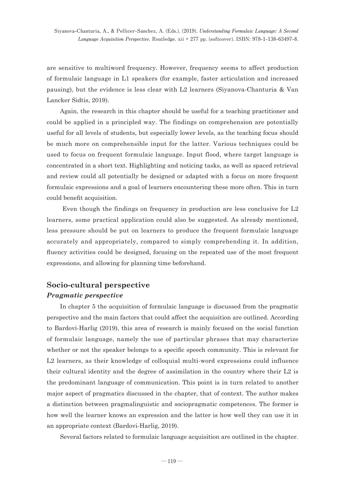are sensitive to multiword frequency. However, frequency seems to affect production of formulaic language in L1 speakers (for example, faster articulation and increased pausing), but the evidence is less clear with L2 learners (Siyanova-Chanturia & Van Lancker Sidtis, 2019).

Again, the research in this chapter should be useful for a teaching practitioner and could be applied in a principled way. The findings on comprehension are potentially useful for all levels of students, but especially lower levels, as the teaching focus should be much more on comprehensible input for the latter. Various techniques could be used to focus on frequent formulaic language. Input flood, where target language is concentrated in a short text. Highlighting and noticing tasks, as well as spaced retrieval and review could all potentially be designed or adapted with a focus on more frequent formulaic expressions and a goal of learners encountering these more often. This in turn could benefit acquisition.

 Even though the findings on frequency in production are less conclusive for L2 learners, some practical application could also be suggested. As already mentioned, less pressure should be put on learners to produce the frequent formulaic language accurately and appropriately, compared to simply comprehending it. In addition, fluency activities could be designed, focusing on the repeated use of the most frequent expressions, and allowing for planning time beforehand.

## **Socio-cultural perspective** *Pragmatic perspective*

In chapter 5 the acquisition of formulaic language is discussed from the pragmatic perspective and the main factors that could affect the acquisition are outlined. According to Bardovi-Harlig (2019), this area of research is mainly focused on the social function of formulaic language, namely the use of particular phrases that may characterize whether or not the speaker belongs to a specific speech community. This is relevant for L2 learners, as their knowledge of colloquial multi-word expressions could influence their cultural identity and the degree of assimilation in the country where their L2 is the predominant language of communication. This point is in turn related to another major aspect of pragmatics discussed in the chapter, that of context. The author makes a distinction between pragmalinguistic and sociopragmatic competences. The former is how well the learner knows an expression and the latter is how well they can use it in an appropriate context (Bardovi-Harlig, 2019).

Several factors related to formulaic language acquisition are outlined in the chapter.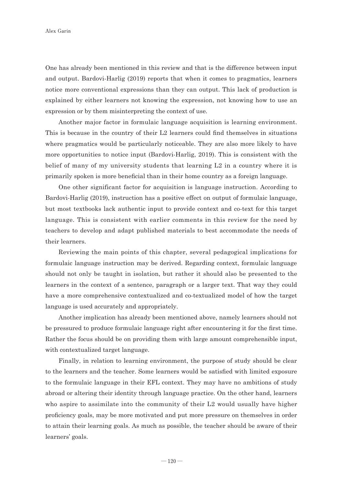One has already been mentioned in this review and that is the difference between input and output. Bardovi-Harlig (2019) reports that when it comes to pragmatics, learners notice more conventional expressions than they can output. This lack of production is explained by either learners not knowing the expression, not knowing how to use an expression or by them misinterpreting the context of use.

Another major factor in formulaic language acquisition is learning environment. This is because in the country of their L2 learners could find themselves in situations where pragmatics would be particularly noticeable. They are also more likely to have more opportunities to notice input (Bardovi-Harlig, 2019). This is consistent with the belief of many of my university students that learning L2 in a country where it is primarily spoken is more beneficial than in their home country as a foreign language.

One other significant factor for acquisition is language instruction. According to Bardovi-Harlig (2019), instruction has a positive effect on output of formulaic language, but most textbooks lack authentic input to provide context and co-text for this target language. This is consistent with earlier comments in this review for the need by teachers to develop and adapt published materials to best accommodate the needs of their learners.

Reviewing the main points of this chapter, several pedagogical implications for formulaic language instruction may be derived. Regarding context, formulaic language should not only be taught in isolation, but rather it should also be presented to the learners in the context of a sentence, paragraph or a larger text. That way they could have a more comprehensive contextualized and co-textualized model of how the target language is used accurately and appropriately.

Another implication has already been mentioned above, namely learners should not be pressured to produce formulaic language right after encountering it for the first time. Rather the focus should be on providing them with large amount comprehensible input, with contextualized target language.

Finally, in relation to learning environment, the purpose of study should be clear to the learners and the teacher. Some learners would be satisfied with limited exposure to the formulaic language in their EFL context. They may have no ambitions of study abroad or altering their identity through language practice. On the other hand, learners who aspire to assimilate into the community of their L2 would usually have higher proficiency goals, may be more motivated and put more pressure on themselves in order to attain their learning goals. As much as possible, the teacher should be aware of their learners' goals.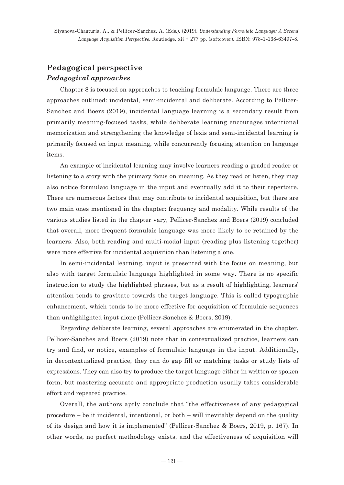## **Pedagogical perspective** *Pedagogical approaches*

Chapter 8 is focused on approaches to teaching formulaic language. There are three approaches outlined: incidental, semi-incidental and deliberate. According to Pellicer-Sanchez and Boers (2019), incidental language learning is a secondary result from primarily meaning-focused tasks, while deliberate learning encourages intentional memorization and strengthening the knowledge of lexis and semi-incidental learning is primarily focused on input meaning, while concurrently focusing attention on language items.

An example of incidental learning may involve learners reading a graded reader or listening to a story with the primary focus on meaning. As they read or listen, they may also notice formulaic language in the input and eventually add it to their repertoire. There are numerous factors that may contribute to incidental acquisition, but there are two main ones mentioned in the chapter: frequency and modality. While results of the various studies listed in the chapter vary, Pellicer-Sanchez and Boers (2019) concluded that overall, more frequent formulaic language was more likely to be retained by the learners. Also, both reading and multi-modal input (reading plus listening together) were more effective for incidental acquisition than listening alone.

In semi-incidental learning, input is presented with the focus on meaning, but also with target formulaic language highlighted in some way. There is no specific instruction to study the highlighted phrases, but as a result of highlighting, learners' attention tends to gravitate towards the target language. This is called typographic enhancement, which tends to be more effective for acquisition of formulaic sequences than unhighlighted input alone (Pellicer-Sanchez & Boers, 2019).

Regarding deliberate learning, several approaches are enumerated in the chapter. Pellicer-Sanches and Boers (2019) note that in contextualized practice, learners can try and find, or notice, examples of formulaic language in the input. Additionally, in decontextualized practice, they can do gap fill or matching tasks or study lists of expressions. They can also try to produce the target language either in written or spoken form, but mastering accurate and appropriate production usually takes considerable effort and repeated practice.

Overall, the authors aptly conclude that "the effectiveness of any pedagogical procedure – be it incidental, intentional, or both – will inevitably depend on the quality of its design and how it is implemented" (Pellicer-Sanchez & Boers, 2019, p. 167). In other words, no perfect methodology exists, and the effectiveness of acquisition will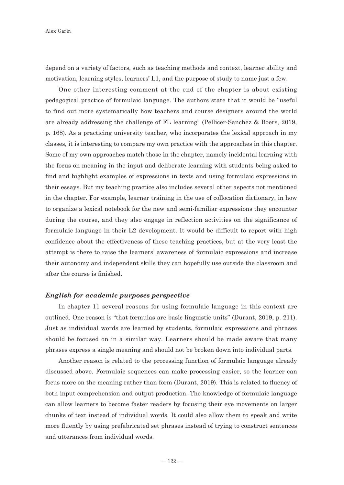depend on a variety of factors, such as teaching methods and context, learner ability and motivation, learning styles, learners' L1, and the purpose of study to name just a few.

One other interesting comment at the end of the chapter is about existing pedagogical practice of formulaic language. The authors state that it would be "useful to find out more systematically how teachers and course designers around the world are already addressing the challenge of FL learning" (Pellicer-Sanchez & Boers, 2019, p. 168). As a practicing university teacher, who incorporates the lexical approach in my classes, it is interesting to compare my own practice with the approaches in this chapter. Some of my own approaches match those in the chapter, namely incidental learning with the focus on meaning in the input and deliberate learning with students being asked to find and highlight examples of expressions in texts and using formulaic expressions in their essays. But my teaching practice also includes several other aspects not mentioned in the chapter. For example, learner training in the use of collocation dictionary, in how to organize a lexical notebook for the new and semi-familiar expressions they encounter during the course, and they also engage in reflection activities on the significance of formulaic language in their L2 development. It would be difficult to report with high confidence about the effectiveness of these teaching practices, but at the very least the attempt is there to raise the learners' awareness of formulaic expressions and increase their autonomy and independent skills they can hopefully use outside the classroom and after the course is finished.

#### *English for academic purposes perspective*

In chapter 11 several reasons for using formulaic language in this context are outlined. One reason is "that formulas are basic linguistic units" (Durant, 2019, p. 211). Just as individual words are learned by students, formulaic expressions and phrases should be focused on in a similar way. Learners should be made aware that many phrases express a single meaning and should not be broken down into individual parts.

Another reason is related to the processing function of formulaic language already discussed above. Formulaic sequences can make processing easier, so the learner can focus more on the meaning rather than form (Durant, 2019). This is related to fluency of both input comprehension and output production. The knowledge of formulaic language can allow learners to become faster readers by focusing their eye movements on larger chunks of text instead of individual words. It could also allow them to speak and write more fluently by using prefabricated set phrases instead of trying to construct sentences and utterances from individual words.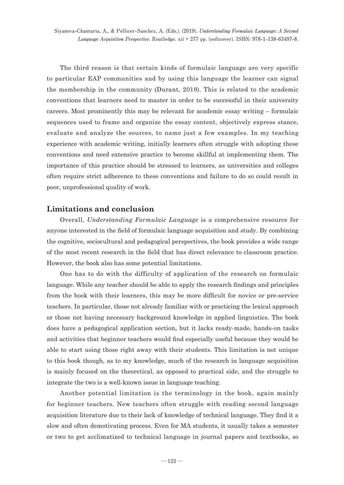**Siyanova-Chanturia, A., & Pellicer-Sanchez, A. (Eds.). (2019). Understanding Formulaic Language: A Second Language Acquisition Perspective. Routledge. xii + 277 pp. (softcover). ISBN: 978-1-138-63497-8.**

The third reason is that certain kinds of formulaic language are very specific to particular EAP communities and by using this language the learner can signal the membership in the community (Durant, 2019). This is related to the academic conventions that learners need to master in order to be successful in their university careers. Most prominently this may be relevant for academic essay writing – formulaic sequences used to frame and organize the essay content, objectively express stance, evaluate and analyze the sources, to name just a few examples. In my teaching experience with academic writing, initially learners often struggle with adopting these conventions and need extensive practice to become skillful at implementing them. The importance of this practice should be stressed to learners, as universities and colleges often require strict adherence to these conventions and failure to do so could result in poor, unprofessional quality of work.

### **Limitations and conclusion**

Overall, *Understanding Formulaic Language* is a comprehensive resource for anyone interested in the field of formulaic language acquisition and study. By combining the cognitive, sociocultural and pedagogical perspectives, the book provides a wide range of the most recent research in the field that has direct relevance to classroom practice. However, the book also has some potential limitations.

One has to do with the difficulty of application of the research on formulaic language. While any teacher should be able to apply the research findings and principles from the book with their learners, this may be more difficult for novice or pre-service teachers. In particular, those not already familiar with or practicing the lexical approach or those not having necessary background knowledge in applied linguistics. The book does have a pedagogical application section, but it lacks ready-made, hands-on tasks and activities that beginner teachers would find especially useful because they would be able to start using those right away with their students. This limitation is not unique to this book though, as to my knowledge, much of the research in language acquisition is mainly focused on the theoretical, as opposed to practical side, and the struggle to integrate the two is a well-known issue in language teaching.

Another potential limitation is the terminology in the book, again mainly for beginner teachers. New teachers often struggle with reading second language acquisition literature due to their lack of knowledge of technical language. They find it a slow and often demotivating process. Even for MA students, it usually takes a semester or two to get acclimatized to technical language in journal papers and textbooks, so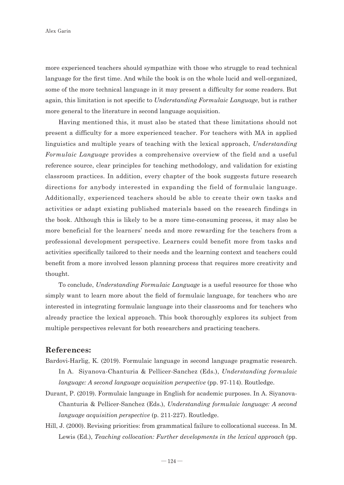more experienced teachers should sympathize with those who struggle to read technical language for the first time. And while the book is on the whole lucid and well-organized, some of the more technical language in it may present a difficulty for some readers. But again, this limitation is not specific to *Understanding Formulaic Language*, but is rather more general to the literature in second language acquisition.

Having mentioned this, it must also be stated that these limitations should not present a difficulty for a more experienced teacher. For teachers with MA in applied linguistics and multiple years of teaching with the lexical approach, *Understanding Formulaic Language* provides a comprehensive overview of the field and a useful reference source, clear principles for teaching methodology, and validation for existing classroom practices. In addition, every chapter of the book suggests future research directions for anybody interested in expanding the field of formulaic language. Additionally, experienced teachers should be able to create their own tasks and activities or adapt existing published materials based on the research findings in the book. Although this is likely to be a more time-consuming process, it may also be more beneficial for the learners' needs and more rewarding for the teachers from a professional development perspective. Learners could benefit more from tasks and activities specifically tailored to their needs and the learning context and teachers could benefit from a more involved lesson planning process that requires more creativity and thought.

To conclude, *Understanding Formulaic Language* is a useful resource for those who simply want to learn more about the field of formulaic language, for teachers who are interested in integrating formulaic language into their classrooms and for teachers who already practice the lexical approach. This book thoroughly explores its subject from multiple perspectives relevant for both researchers and practicing teachers.

### **References:**

- Bardovi-Harlig, K. (2019). Formulaic language in second language pragmatic research. In A. Siyanova-Chanturia & Pellicer-Sanchez (Eds.), *Understanding formulaic language: A second language acquisition perspective* (pp. 97-114). Routledge.
- Durant, P. (2019). Formulaic language in English for academic purposes. In A. Siyanova-Chanturia & Pellicer-Sanchez (Eds.), *Understanding formulaic language: A second language acquisition perspective* (p. 211-227). Routledge.
- Hill, J. (2000). Revising priorities: from grammatical failure to collocational success. In M. Lewis (Ed.), *Teaching collocation: Further developments in the lexical approach* (pp.